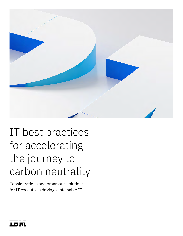

# IT best practices for accelerating the journey to carbon neutrality

Considerations and pragmatic solutions for IT executives driving sustainable IT

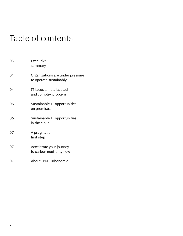## Table of contents

| 03 | Executive<br>summary                                       |
|----|------------------------------------------------------------|
| 04 | Organizations are under pressure<br>to operate sustainably |
| 04 | IT faces a multifaceted<br>and complex problem             |
| 05 | Sustainable IT opportunities<br>on premises                |
| 06 | Sustainable IT opportunities<br>in the cloud.              |
| 07 | A pragmatic<br>first step                                  |
| 07 | Accelerate your journey<br>to carbon neutrality now        |
| 07 | About IBM Turbonomic                                       |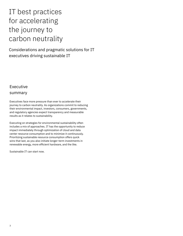## IT best practices for accelerating the journey to carbon neutrality

Considerations and pragmatic solutions for IT executives driving sustainable IT

### **Executive** summary

Executives face more pressure than ever to accelerate their journey to carbon neutrality. As organizations commit to reducing their environmental impact, investors, consumers, governments, and regulatory agencies expect transparency and measurable results as it relates to sustainability.

Executing on strategies for environmental sustainability often includes a mix of approaches. IT has the opportunity to reduce impact immediately through optimization of cloud and data center resource consumption and to minimize it continuously. Prioritizing sustainable resource consumption offers quick wins that last, as you also initiate longer-term investments in renewable energy, more efficient hardware, and the like.

Sustainable IT can start now.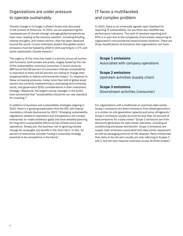## Organizations are under pressure to operate sustainably

Climate change is no longer a distant threat only discussed in the context of tomorrow. In 2022, we are experiencing the consequences of climate change: average global temperatures have risen, leading to the extreme weather—including flooding, intense droughts, and violent storms—that has been observed around the world. Current estimates predict that global carbon emissions must be halved by 2030 to limit warming to 1.5°C and avoid catastrophic climate impacts.1

The urgency of this crisis has made it a priority across all sectors and functions, both private and public, largely fueled by the rise of the sustainability-conscious consumer. A recent study by IBM found that 80 percent of consumers indicate sustainability is important to them and 60 percent are willing to change their shopping habits to reduce environmental impact.<sup>2</sup> In response to these increasing pressures, today more than half of global asset owners are currently implementing or evaluating environmental, social, and governance (ESG) considerations in their investment strategy.3 Blackrock, the largest money manager in the world, even announced that "sustainability should be our new standard for investing."4

In addition to business and sustainability strategies aligning in 2022, there is a growing expectation that the SEC will impose mandatory climate disclosures by 2023.<sup>5</sup> Emerging sustainability regulations related to operations and transparency will compel enterprises to create ambitious goals and have detailed planning for long-term sustainability efforts across infrastructure and operations. Simply put, the business risk of ignoring climate change far outweighs any benefit in the short term. In fact, 62 percent of executives consider having a sustainility strategy essential to be competitive in the future.<sup>6</sup>

## IT faces a multifaceted and complex problem

In 2022, there is no universally agreed-upon standard for reporting IT sustainability, nor are there any solidified key performance indicators. This lack of standard reporting and KPIs is in part due to the complexity of accurately measuring an organization's environmental impact/carbon footprint. There are three classifications of emissions that organizations can track:

**Scope 1 emissions** Associated with company operations

**Scope 2 emissions** Upstream activities (supply chain)

**Scope 3 emissions** Downstream activities (consumer)

For organizations with a traditional on-premises data center, Scope 1 emissions are direct emissions from diesel generators or a similar on-site generation capacity and some refrigerants.7 Scope 1 emissions usually account for less than 10 percent of total emissions for a data center.<sup>8</sup> Scope 2 emissions are from electricity generation for data center operation, including air conditioning and power distribution. Scope 3 emissions are supply chain emissions associated with data center equipment, as well as packaging and end-of-life disposal. Many enterprises that claim to be net-zero usually are only referring to Scopes 1 and 2, but net-zero requires neutrality across all three scopes.<sup>9</sup>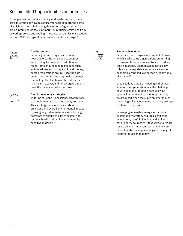## Sustainable IT opportunities on premises

For organizations that are running workloads on-prem, there are a multitude of ways to reduce your carbon footprint, some of which are more challenging than others. Organizations that are on-prem should focus primarily on reducing emissions from powering servers and cooling. These Scope 2 emissions account for over 80% of a typical data center's electricity usage.10



#### **Cooling servers**

Servers generate a significant amount of heat that organizations need to counter with cooling techniques. In addition to higher-efficiency cooling techniques such as filtered free air cooling and liquid cooling, some organizations are (re-)locating data centers to climates that require less energy for cooling. The location of the data center is critical, however, and not all organizations have the means to make this move.

#### **Circular economy strategies**

In terms of Scope 3 emissions, organizations can implement a circular economy strategy. This strategy aims to reduce carbon emissions and overall environmental impact by using recyclable materials, refurbishing hardware to extend the life of assets, and responsibly disposing of environmentally sensitive materials.<sup>11</sup>



#### **Renewable energy**

Servers require a significant amount of power, which is why some organizations are turning to renewable sources of electricity to reduce their emissions. Location again plays a key role as not every data center has access to economically priced low-carbon or renewable electricity.12

Organizations that are investing in their own solar or wind generation face the challenge of variability in production because wind speeds fluctuate and solar energy can only be produced when the sun is shining, though technological advancements in battery storage continue to improve.

Leveraging renewable energy as part of a sustainability strategy requires significant investment, careful planning, and a diverse set of energy sources.<sup>13</sup> It takes time to realize results; it is an important part of the mix but cannot be the only approach given the urgent need to reduce impact now.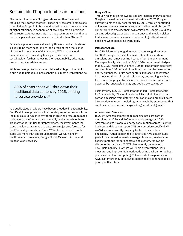## Sustainable IT opportunities in the cloud

The public cloud offers IT organizations another means of reducing their carbon footprint. These services create emissions classified as Scope 3. Public cloud providers have the advantage of higher efficiency in economies of scale against on-premises infrastructure. As Gartner puts it, a bus uses more carbon than a car, but a packed bus is more carbon-friendly than 20 cars.<sup>14</sup>

Similarly, a pool of servers shared by thousands of applications is likely to be more cost- and carbon-efficient than thousands of servers in thousands of data centers.<sup>15</sup> The major cloud providers are also investing heavily in environmental sustainability, further increasing their sustainability advantage over on-premises data centers.

While some organizations cannot take advantage of the public cloud due to unique business constraints, most organizations do.

80% of enterprises will shut down their traditional data centers by 2025, shifting to service providers .<sup>16</sup>

Top public cloud providers have become leaders in sustainability. But it's still on organizations to accurately report emissions from the public cloud, which is why there is growing pressure to make carbon impact information more readily available. While there are many opportunities for improvement, the investments that cloud providers have made to date are a major step forward for the IT industry as a whole. Since 76% of enterprises in public cloud use more than one cloud platform, we will highlight the three main providers, Google Cloud, Microsoft Azure, and Amazon Web Services.<sup>17</sup>

### **Google Cloud**

Through reliance on renewable and low-carbon energy sources, Google achieved net carbon neutral status in 2007. Google currently aims to fully decarbonize by 2030 through continued reliance on renewable energy sources and load optimization.<sup>18</sup> For enterprises tracking their own emissions, Google Cloud has also introduced greater data transparency and a region picker that allows operations teams to make ecologically informed decisions when deploying workloads.

#### **Microsoft Azure**

In 2020, Microsoft pledged to reach carbon-negative status by 2030 through a series of measures to cut new carbon emissions and remove emitted carbon from the environment. More specifically, Microsoft's 100/100/0 commitment pledges that by 2030, Microsoft will have 100 percent of their electricity consumption, 100 percent of the time, matched by zero-carbon energy purchases. For its data centers, Microsoft has invested in various methods of sustainable energy and cooling, such as the creation of project Natick, an underwater data center that is powered by renewable energy and cooled by seawater.19

Furthermore, in 2021 Microsoft announced Microsoft's Cloud for Sustainability. This option allows ESG stakeholders to track carbon emissions from different applications and breaks it down into a variety of reports including a sustainability scoreboard that can track carbon emissions against organizational goals.20

#### **Amazon Web Services**

In 2019, Amazon committed to reaching net-zero carbon emissions by 2040 and 100% renewable energy by 2030. Amazon reports its annual energy consumption across its entire business and does not report AWS consumption specifically.<sup>21</sup> AWS does not currently have any tools to track carbon emissions.22 Other sustainability initiatives AWS uses include goals for increased renewable energy utilization, sustainable cooling methods for data centers, and custom, renewable silicon for its hardware.<sup>23</sup> AWS also recently announced a new Sustainability Pillar that will "help organizations learn, measure, and improve their workloads using environmental best practices for cloud computing."24 More data transparency for AWS customers should follow as sustainability continues to be a priority in the future.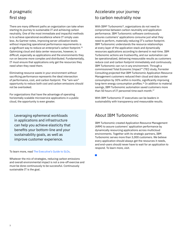## A pragmatic first step

There are many different paths an organization can take when starting its journey to sustainable IT and achieving carbon neutrality. One of the most immediate and impactful methods is to achieve operational excellence where IT simply uses less. As Gartner notes, improving server utilization levels without impacting operational performance requirements is a significant way to reduce an enterprise's carbon footprint.<sup>25</sup> Optimizing cloud and data center resources, however, is difficult, especially as applications and the environments they run on become more complex and distributed. Fundamentally, IT must ensure that applications only get the resources they need when they need them.

Eliminating resource waste in your environment without sacrificing performance represents the ideal intersection of performance, cost, and carbon footprint. The "win-win" opportunity to reduce both cost and carbon emissions should not be overlooked.

For organizations that have the advantage of operating horizontally scalable microservice applications in a public cloud, the opportunity is even greater.

Leveraging ephemeral workloads in applications and infrastructure can help you achieve elasticity that benefits your bottom-line and your sustainability goals, as well as improve customer experience.

To learn more, read [The Executive's Guide to SLOs](https://www.turbonomic.com/resources/white-papers/the-executives-guide-to-slos/).

Whatever the mix of strategies, reducing carbon emissions and overall environmental impact is not a one-off exercise and must be done continuously to be successful. Continuously sustainable IT is the goal.

## Accelerate your journey to carbon neutrality now

With IBM® Turbonomic®, organizations do not need to compromise between carbon neutrality and application performance. IBM Turbonomic software continuously ensures customers' applications consume just what they need to perform, materially reducing IT's carbon footprint. IBM Turbonomic understands the resource relationships at every layer of the application stack and dynamically resources applications according to demand in real-time. IBM Turbonomic actions are trustworthy, and our automation can be operationalized, delivering measurable results as customers reduce cost and carbon footprint immediately and continuously. IBM Turbonomic can run in any environment. Through a commissioned Total Economic Impact™ (TEI) study, Forrester Consulting projected that IBM Turbonomic Application Resource Management customers reduced their cloud and data center consumption by 30% within 6 months, significantly improving long-term energy consumption profiles.<sup>26</sup> In addition to material savings, IBM Turbonomic automation saved customers more than 50 hours of IT personnel time each month.<sup>27</sup>

With IBM Turbonomic IT executives can be leaders in sustainability with transparency and measurable results.

### About IBM Turbonomic

IBM Turbonomic created Application Resource Management (ARM) to assure customers' application performance by dynamically resourcing applications across multicloud environments. Together with its strategic partners, IBM Turbonomic serves more than 3,000 customers. We believe every application should always get the resources it needs, and end-users should never have to wait for an application to respond. To learn more, visit.